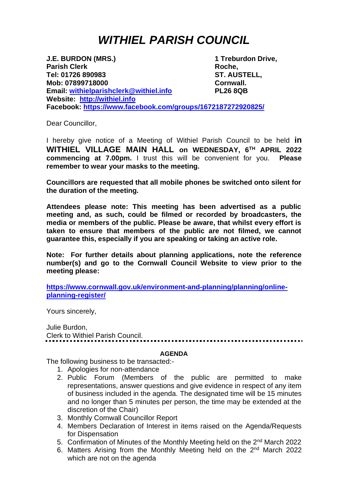## *WITHIEL PARISH COUNCIL*

**J.E. BURDON (MRS.) 1 Treburdon Drive, Parish Clerk Roche**, **Tel: 01726 890983 ST. AUSTELL, Mob: 07899718000 Cornwall. Email: [withielparishclerk@withiel.info](mailto:withielparishclerk@withiel.info) PL26 8QB Website: [http://withiel.info](http://withiel.info/) Facebook:<https://www.facebook.com/groups/1672187272920825/>**

Dear Councillor,

I hereby give notice of a Meeting of Withiel Parish Council to be held **in WITHIEL VILLAGE MAIN HALL on WEDNESDAY, 6 TH APRIL 2022 commencing at 7.00pm.** I trust this will be convenient for you. **Please remember to wear your masks to the meeting.**

**Councillors are requested that all mobile phones be switched onto silent for the duration of the meeting.** 

**Attendees please note: This meeting has been advertised as a public meeting and, as such, could be filmed or recorded by broadcasters, the media or members of the public. Please be aware, that whilst every effort is taken to ensure that members of the public are not filmed, we cannot guarantee this, especially if you are speaking or taking an active role.**

**Note: For further details about planning applications, note the reference number(s) and go to the Cornwall Council Website to view prior to the meeting please:**

**[https://www.cornwall.gov.uk/environment-and-planning/planning/online](https://www.cornwall.gov.uk/environment-and-planning/planning/online-planning-register/)[planning-register/](https://www.cornwall.gov.uk/environment-and-planning/planning/online-planning-register/)**

Yours sincerely,

Julie Burdon, Clerk to Withiel Parish Council. 

## **AGENDA**

The following business to be transacted:-

- 1. Apologies for non-attendance
- 2. Public Forum (Members of the public are permitted to make representations, answer questions and give evidence in respect of any item of business included in the agenda. The designated time will be 15 minutes and no longer than 5 minutes per person, the time may be extended at the discretion of the Chair)
- 3. Monthly Cornwall Councillor Report
- 4. Members Declaration of Interest in items raised on the Agenda/Requests for Dispensation
- 5. Confirmation of Minutes of the Monthly Meeting held on the 2<sup>nd</sup> March 2022
- 6. Matters Arising from the Monthly Meeting held on the 2<sup>nd</sup> March 2022 which are not on the agenda